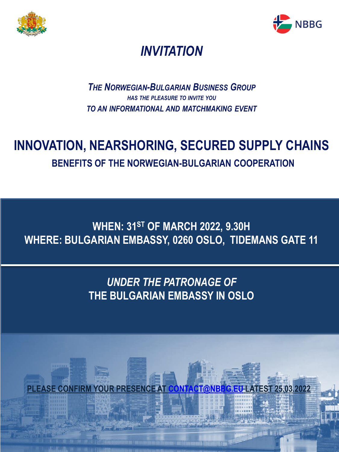



# *INVITATION*

#### *THE NORWEGIAN-BULGARIAN BUSINESS GROUP HAS THE PLEASURE TO INVITE YOU TO AN INFORMATIONAL AND MATCHMAKING EVENT*

# **INNOVATION, NEARSHORING, SECURED SUPPLY CHAINS BENEFITS OF THE NORWEGIAN-BULGARIAN COOPERATION**

### **WHEN: 31ST OF MARCH 2022, 9.30H WHERE: BULGARIAN EMBASSY, 0260 OSLO, TIDEMANS GATE 11**

## *UNDER THE PATRONAGE OF*  **THE BULGARIAN EMBASSY IN OSLO**